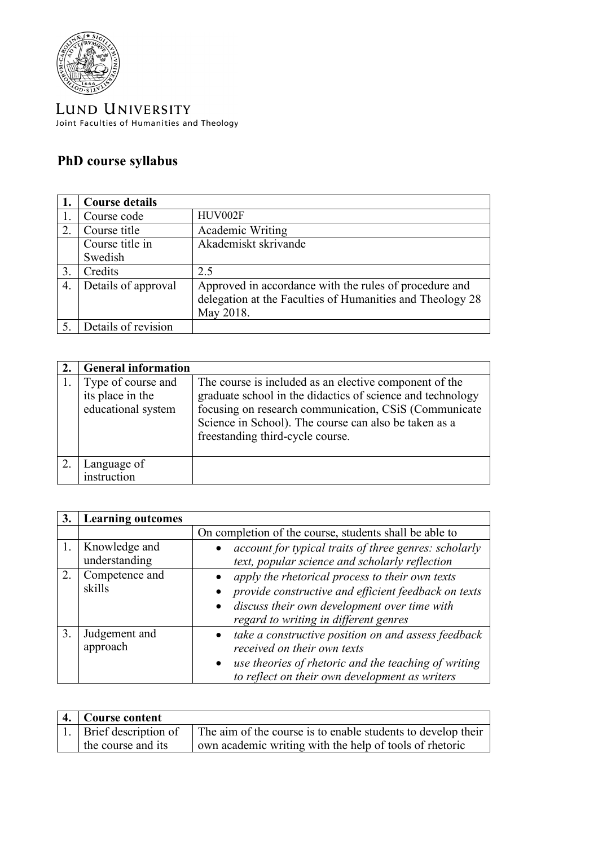

LUND UNIVERSITY Joint Faculties of Humanities and Theology

## **PhD course syllabus**

|                  | <b>Course details</b> |                                                                                                                                  |
|------------------|-----------------------|----------------------------------------------------------------------------------------------------------------------------------|
|                  | Course code           | HUV002F                                                                                                                          |
| 2.               | Course title          | Academic Writing                                                                                                                 |
|                  | Course title in       | Akademiskt skrivande                                                                                                             |
|                  | Swedish               |                                                                                                                                  |
| 3.               | Credits               | 2.5                                                                                                                              |
| $\overline{4}$ . | Details of approval   | Approved in accordance with the rules of procedure and<br>delegation at the Faculties of Humanities and Theology 28<br>May 2018. |
|                  | Details of revision   |                                                                                                                                  |

| <b>General information</b>                                   |                                                                                                                                                                                                                                                                             |
|--------------------------------------------------------------|-----------------------------------------------------------------------------------------------------------------------------------------------------------------------------------------------------------------------------------------------------------------------------|
| Type of course and<br>its place in the<br>educational system | The course is included as an elective component of the<br>graduate school in the didactics of science and technology<br>focusing on research communication, CSiS (Communicate)<br>Science in School). The course can also be taken as a<br>freestanding third-cycle course. |
| Language of                                                  |                                                                                                                                                                                                                                                                             |
| instruction                                                  |                                                                                                                                                                                                                                                                             |

| 3. | <b>Learning outcomes</b>       |                                                                                                                                                                                                           |
|----|--------------------------------|-----------------------------------------------------------------------------------------------------------------------------------------------------------------------------------------------------------|
|    |                                | On completion of the course, students shall be able to                                                                                                                                                    |
| 1. | Knowledge and<br>understanding | account for typical traits of three genres: scholarly<br>text, popular science and scholarly reflection                                                                                                   |
| 2. | Competence and<br>skills       | apply the rhetorical process to their own texts<br>provide constructive and efficient feedback on texts<br>discuss their own development over time with<br>regard to writing in different genres          |
| 3. | Judgement and<br>approach      | take a constructive position on and assess feedback<br>received on their own texts<br>use theories of rhetoric and the teaching of writing<br>$\bullet$<br>to reflect on their own development as writers |

| 4. Course content         |                                                              |
|---------------------------|--------------------------------------------------------------|
| 1.   Brief description of | The aim of the course is to enable students to develop their |
| the course and its        | own academic writing with the help of tools of rhetoric      |